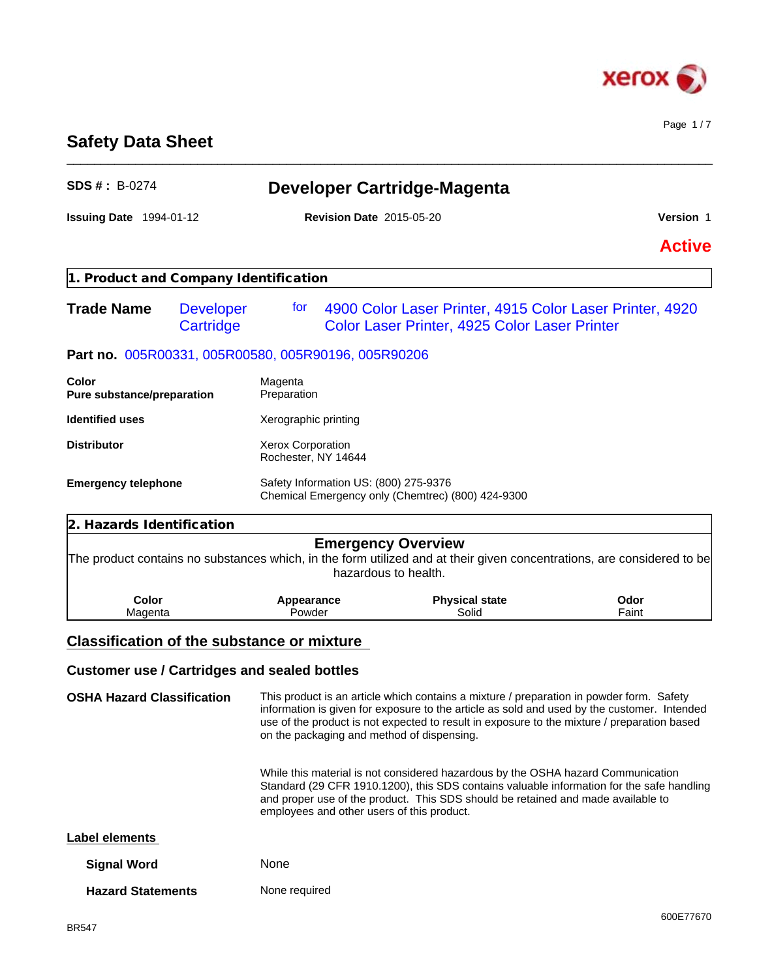

Page 1 / 7

# **Safety Data Sheet**

| <b>SDS #: B-0274</b>                                |                               |                                                 |                                                   | Developer Cartridge-Magenta                                                                                                                                          |                                                                                                                                                                                            |
|-----------------------------------------------------|-------------------------------|-------------------------------------------------|---------------------------------------------------|----------------------------------------------------------------------------------------------------------------------------------------------------------------------|--------------------------------------------------------------------------------------------------------------------------------------------------------------------------------------------|
| <b>Issuing Date 1994-01-12</b>                      |                               | <b>Revision Date 2015-05-20</b>                 |                                                   | Version 1                                                                                                                                                            |                                                                                                                                                                                            |
|                                                     |                               |                                                 |                                                   |                                                                                                                                                                      | <b>Active</b>                                                                                                                                                                              |
| 1. Product and Company Identification               |                               |                                                 |                                                   |                                                                                                                                                                      |                                                                                                                                                                                            |
| <b>Trade Name</b>                                   | <b>Developer</b><br>Cartridge | for                                             |                                                   | Color Laser Printer, 4925 Color Laser Printer                                                                                                                        | 4900 Color Laser Printer, 4915 Color Laser Printer, 4920                                                                                                                                   |
| Part no. 005R00331, 005R00580, 005R90196, 005R90206 |                               |                                                 |                                                   |                                                                                                                                                                      |                                                                                                                                                                                            |
| Color<br>Pure substance/preparation                 |                               | Magenta<br>Preparation                          |                                                   |                                                                                                                                                                      |                                                                                                                                                                                            |
| <b>Identified uses</b>                              |                               | Xerographic printing                            |                                                   |                                                                                                                                                                      |                                                                                                                                                                                            |
| <b>Distributor</b>                                  |                               | <b>Xerox Corporation</b><br>Rochester, NY 14644 |                                                   |                                                                                                                                                                      |                                                                                                                                                                                            |
| <b>Emergency telephone</b>                          |                               |                                                 | Safety Information US: (800) 275-9376             | Chemical Emergency only (Chemtrec) (800) 424-9300                                                                                                                    |                                                                                                                                                                                            |
| 2. Hazards Identification                           |                               |                                                 |                                                   |                                                                                                                                                                      |                                                                                                                                                                                            |
|                                                     |                               |                                                 | <b>Emergency Overview</b><br>hazardous to health. |                                                                                                                                                                      | The product contains no substances which, in the form utilized and at their given concentrations, are considered to be                                                                     |
| Color<br>Magenta                                    |                               | Appearance<br>Powder                            |                                                   | <b>Physical state</b><br>Solid                                                                                                                                       | Odor<br>Faint                                                                                                                                                                              |
| <b>Classification of the substance or mixture</b>   |                               |                                                 |                                                   |                                                                                                                                                                      |                                                                                                                                                                                            |
| <b>Customer use / Cartridges and sealed bottles</b> |                               |                                                 |                                                   |                                                                                                                                                                      |                                                                                                                                                                                            |
| <b>OSHA Hazard Classification</b>                   |                               |                                                 | on the packaging and method of dispensing.        | This product is an article which contains a mixture / preparation in powder form. Safety                                                                             | information is given for exposure to the article as sold and used by the customer. Intended<br>use of the product is not expected to result in exposure to the mixture / preparation based |
|                                                     |                               |                                                 | employees and other users of this product.        | While this material is not considered hazardous by the OSHA hazard Communication<br>and proper use of the product. This SDS should be retained and made available to | Standard (29 CFR 1910.1200), this SDS contains valuable information for the safe handling                                                                                                  |
| Label elements                                      |                               |                                                 |                                                   |                                                                                                                                                                      |                                                                                                                                                                                            |
| <b>Signal Word</b>                                  |                               | None                                            |                                                   |                                                                                                                                                                      |                                                                                                                                                                                            |
| <b>Hazard Statements</b>                            |                               | None required                                   |                                                   |                                                                                                                                                                      |                                                                                                                                                                                            |

\_\_\_\_\_\_\_\_\_\_\_\_\_\_\_\_\_\_\_\_\_\_\_\_\_\_\_\_\_\_\_\_\_\_\_\_\_\_\_\_\_\_\_\_\_\_\_\_\_\_\_\_\_\_\_\_\_\_\_\_\_\_\_\_\_\_\_\_\_\_\_\_\_\_\_\_\_\_\_\_\_\_\_\_\_\_\_\_\_\_\_\_\_\_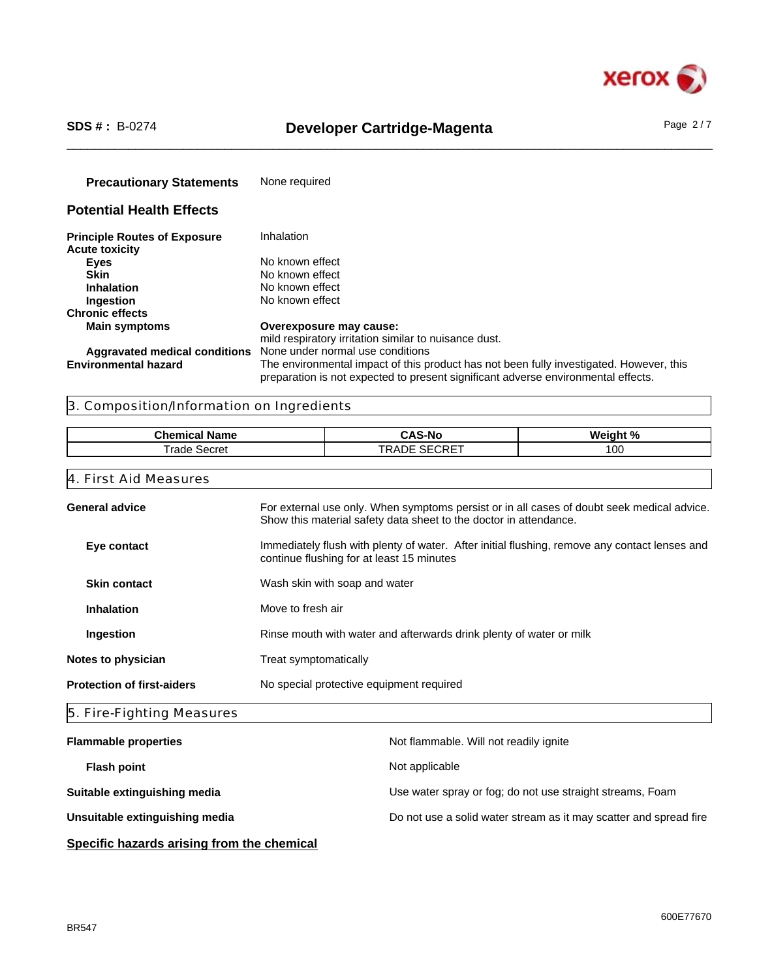

# \_\_\_\_\_\_\_\_\_\_\_\_\_\_\_\_\_\_\_\_\_\_\_\_\_\_\_\_\_\_\_\_\_\_\_\_\_\_\_\_\_\_\_\_\_\_\_\_\_\_\_\_\_\_\_\_\_\_\_\_\_\_\_\_\_\_\_\_\_\_\_\_\_\_\_\_\_\_\_\_\_\_\_\_\_\_\_\_\_\_\_\_\_\_ **SDS # :** B-0274 **Developer Cartridge-Magenta** Page 2 / 7

| <b>Precautionary Statements</b>                              | None required                                                                                                                                                                |
|--------------------------------------------------------------|------------------------------------------------------------------------------------------------------------------------------------------------------------------------------|
| <b>Potential Health Effects</b>                              |                                                                                                                                                                              |
| <b>Principle Routes of Exposure</b><br><b>Acute toxicity</b> | Inhalation                                                                                                                                                                   |
| <b>Eyes</b>                                                  | No known effect                                                                                                                                                              |
| <b>Skin</b>                                                  | No known effect                                                                                                                                                              |
| <b>Inhalation</b>                                            | No known effect                                                                                                                                                              |
| Ingestion                                                    | No known effect                                                                                                                                                              |
| <b>Chronic effects</b>                                       |                                                                                                                                                                              |
| <b>Main symptoms</b>                                         | Overexposure may cause:                                                                                                                                                      |
|                                                              | mild respiratory irritation similar to nuisance dust.                                                                                                                        |
| Aggravated medical conditions                                | None under normal use conditions                                                                                                                                             |
| <b>Environmental hazard</b>                                  | The environmental impact of this product has not been fully investigated. However, this<br>preparation is not expected to present significant adverse environmental effects. |

## 3. Composition/Information on Ingredients

| Chen<br>---<br>name<br>emical | CAS<br>S-No                                                          | --<br>.<br>'''<br>n |
|-------------------------------|----------------------------------------------------------------------|---------------------|
| Secre.<br>rade                | $- - - -$<br>T <sub>D</sub><br>ົ<br><b>\DE</b><br>∼<br><b>SEURET</b> | 100                 |

| For external use only. When symptoms persist or in all cases of doubt seek medical advice.<br><b>General advice</b><br>Show this material safety data sheet to the doctor in attendance. |                                                                                                                                            |  |  |  |  |
|------------------------------------------------------------------------------------------------------------------------------------------------------------------------------------------|--------------------------------------------------------------------------------------------------------------------------------------------|--|--|--|--|
| Eye contact                                                                                                                                                                              | Immediately flush with plenty of water. After initial flushing, remove any contact lenses and<br>continue flushing for at least 15 minutes |  |  |  |  |
| <b>Skin contact</b>                                                                                                                                                                      | Wash skin with soap and water                                                                                                              |  |  |  |  |
| <b>Inhalation</b>                                                                                                                                                                        | Move to fresh air                                                                                                                          |  |  |  |  |
| Ingestion                                                                                                                                                                                | Rinse mouth with water and afterwards drink plenty of water or milk                                                                        |  |  |  |  |
| Notes to physician                                                                                                                                                                       | Treat symptomatically                                                                                                                      |  |  |  |  |
| <b>Protection of first-aiders</b>                                                                                                                                                        | No special protective equipment required                                                                                                   |  |  |  |  |
| 5. Fire-Fighting Measures                                                                                                                                                                |                                                                                                                                            |  |  |  |  |
| <b>Flammable properties</b>                                                                                                                                                              | Not flammable. Will not readily ignite                                                                                                     |  |  |  |  |
| <b>Flash point</b>                                                                                                                                                                       | Not applicable                                                                                                                             |  |  |  |  |
| Suitable extinguishing media                                                                                                                                                             | Use water spray or fog; do not use straight streams, Foam                                                                                  |  |  |  |  |

Unsuitable extinguishing media **Do not use a solid water stream as it may scatter and spread fire** 

**Specific hazards arising from the chemical**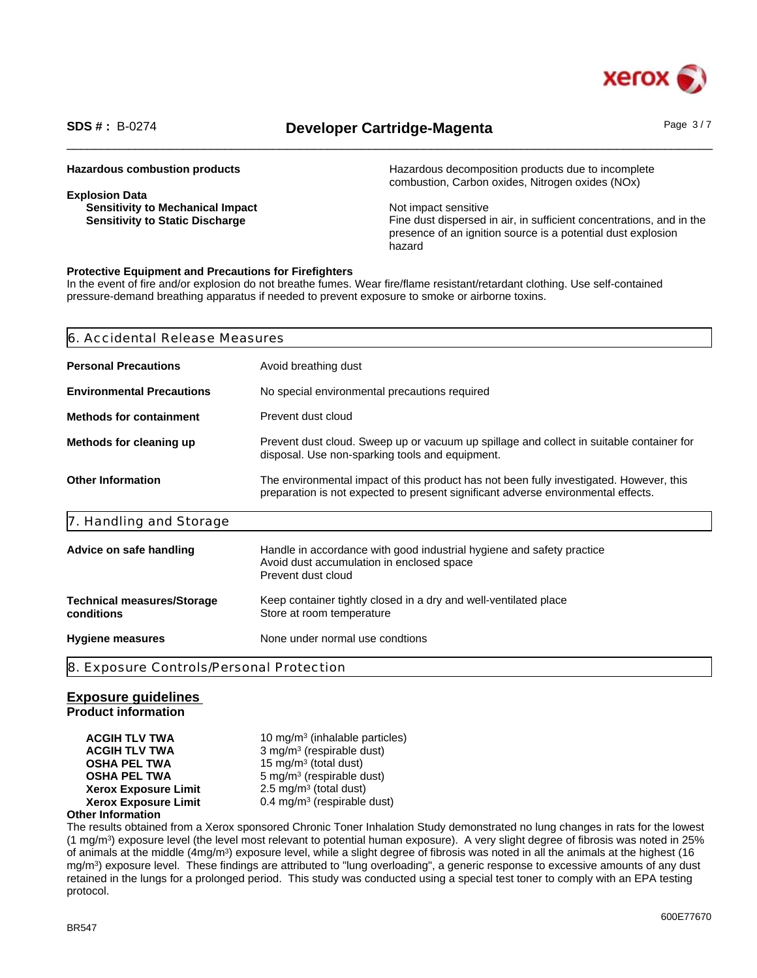

# \_\_\_\_\_\_\_\_\_\_\_\_\_\_\_\_\_\_\_\_\_\_\_\_\_\_\_\_\_\_\_\_\_\_\_\_\_\_\_\_\_\_\_\_\_\_\_\_\_\_\_\_\_\_\_\_\_\_\_\_\_\_\_\_\_\_\_\_\_\_\_\_\_\_\_\_\_\_\_\_\_\_\_\_\_\_\_\_\_\_\_\_\_\_ **SDS # :** B-0274 **Developer Cartridge-Magenta** Page 3 / 7

| Hazardous decomposition products due to incomplete<br>combustion, Carbon oxides, Nitrogen oxides (NOx) |
|--------------------------------------------------------------------------------------------------------|
|                                                                                                        |
| Not impact sensitive                                                                                   |
| Fine dust dispersed in air, in sufficient concentrations, and in the                                   |
| presence of an ignition source is a potential dust explosion                                           |
| hazard                                                                                                 |
|                                                                                                        |

### **Protective Equipment and Precautions for Firefighters**

In the event of fire and/or explosion do not breathe fumes. Wear fire/flame resistant/retardant clothing. Use self-contained pressure-demand breathing apparatus if needed to prevent exposure to smoke or airborne toxins.

| 6. Accidental Release Measures                                                                                                                                               |  |
|------------------------------------------------------------------------------------------------------------------------------------------------------------------------------|--|
| Avoid breathing dust                                                                                                                                                         |  |
| No special environmental precautions required                                                                                                                                |  |
| Prevent dust cloud                                                                                                                                                           |  |
| Prevent dust cloud. Sweep up or vacuum up spillage and collect in suitable container for<br>disposal. Use non-sparking tools and equipment.                                  |  |
| The environmental impact of this product has not been fully investigated. However, this<br>preparation is not expected to present significant adverse environmental effects. |  |
|                                                                                                                                                                              |  |
| Handle in accordance with good industrial hygiene and safety practice<br>Avoid dust accumulation in enclosed space<br>Prevent dust cloud                                     |  |
| Keep container tightly closed in a dry and well-ventilated place<br>Store at room temperature                                                                                |  |
| None under normal use condtions                                                                                                                                              |  |
| 8. Exposure Controls/Personal Protection                                                                                                                                     |  |
|                                                                                                                                                                              |  |

### **Exposure guidelines**

**Product information**

**ACGIH TLV TWA** 10 mg/m<sup>3</sup> (inhalable particles) **ACGIH TLV TWA** 3 mg/m<sup>3</sup> (respirable dust) **OSHA PEL TWA** 15 mg/m<sup>3</sup> (total dust) **OSHA PEL TWA** 5 mg/m<sup>3</sup> (respirable dust) **Xerox Exposure Limit**  $2.5 \text{ mg/m}^3$  (total dust) **Xerox Exposure Limit** 0.4 mg/m<sup>3</sup> (respirable dust)

### **Other Information**

The results obtained from a Xerox sponsored Chronic Toner Inhalation Study demonstrated no lung changes in rats for the lowest (1 mg/m<sup>3</sup> ) exposure level (the level most relevant to potential human exposure). A very slight degree of fibrosis was noted in 25% of animals at the middle (4mg/m<sup>3</sup>) exposure level, while a slight degree of fibrosis was noted in all the animals at the highest (16 mg/m<sup>3</sup> ) exposure level. These findings are attributed to "lung overloading", a generic response to excessive amounts of any dust retained in the lungs for a prolonged period. This study was conducted using a special test toner to comply with an EPA testing protocol.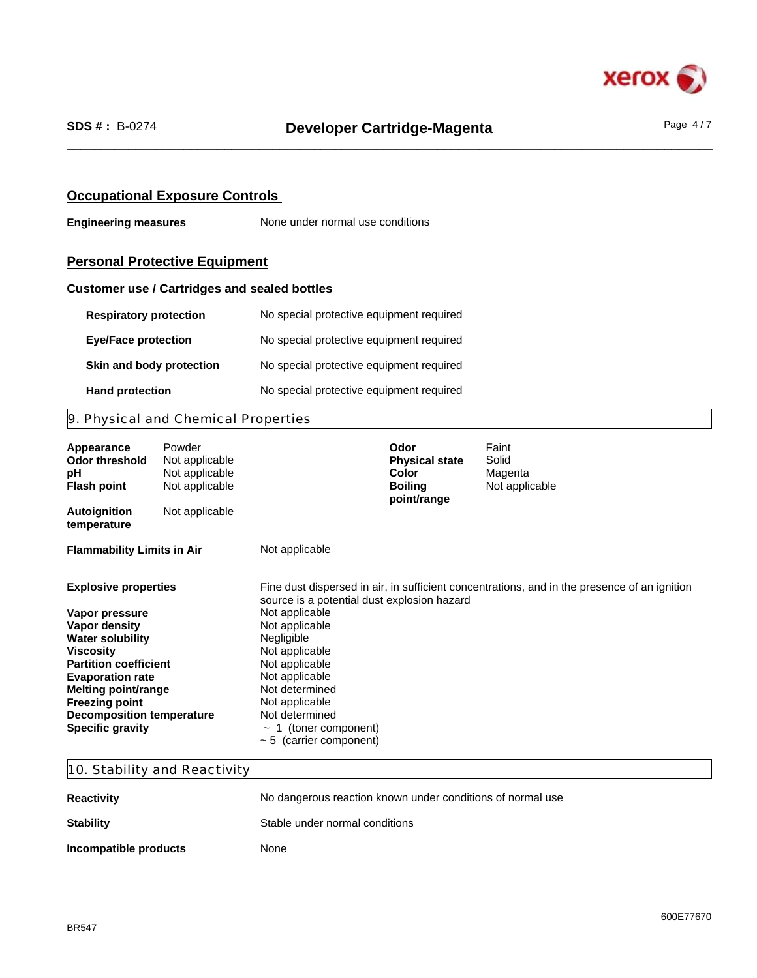

## **Occupational Exposure Controls**

**Engineering measures** None under normal use conditions

# **Personal Protective Equipment**

## **Customer use / Cartridges and sealed bottles**

| <b>Respiratory protection</b> | No special protective equipment required |
|-------------------------------|------------------------------------------|
| <b>Eye/Face protection</b>    | No special protective equipment required |
| Skin and body protection      | No special protective equipment required |
| <b>Hand protection</b>        | No special protective equipment required |

# 9. Physical and Chemical Properties

| Appearance<br>Odor threshold<br>рH<br><b>Flash point</b> | Powder<br>Not applicable<br>Not applicable<br>Not applicable |                                              | Odor<br><b>Physical state</b><br><b>Color</b><br><b>Boiling</b><br>point/range | Faint<br>Solid<br>Magenta<br>Not applicable                                                  |
|----------------------------------------------------------|--------------------------------------------------------------|----------------------------------------------|--------------------------------------------------------------------------------|----------------------------------------------------------------------------------------------|
| <b>Autoignition</b><br>temperature                       | Not applicable                                               |                                              |                                                                                |                                                                                              |
| <b>Flammability Limits in Air</b>                        |                                                              | Not applicable                               |                                                                                |                                                                                              |
| <b>Explosive properties</b>                              |                                                              | source is a potential dust explosion hazard  |                                                                                | Fine dust dispersed in air, in sufficient concentrations, and in the presence of an ignition |
| Vapor pressure                                           |                                                              | Not applicable                               |                                                                                |                                                                                              |
| Vapor density                                            |                                                              | Not applicable                               |                                                                                |                                                                                              |
| <b>Water solubility</b><br><b>Viscosity</b>              |                                                              | Negligible<br>Not applicable                 |                                                                                |                                                                                              |
| <b>Partition coefficient</b>                             |                                                              | Not applicable                               |                                                                                |                                                                                              |
| <b>Evaporation rate</b>                                  |                                                              | Not applicable                               |                                                                                |                                                                                              |
| Melting point/range                                      |                                                              | Not determined                               |                                                                                |                                                                                              |
| <b>Freezing point</b>                                    |                                                              | Not applicable                               |                                                                                |                                                                                              |
| <b>Decomposition temperature</b>                         |                                                              | Not determined                               |                                                                                |                                                                                              |
| <b>Specific gravity</b>                                  |                                                              | 1 (toner component)<br>$\tilde{\phantom{a}}$ |                                                                                |                                                                                              |
|                                                          |                                                              | $\sim$ 5 (carrier component)                 |                                                                                |                                                                                              |

# 10. Stability and Reactivity

| <b>Reactivity</b>     | No dangerous reaction known under conditions of normal use |
|-----------------------|------------------------------------------------------------|
| <b>Stability</b>      | Stable under normal conditions                             |
| Incompatible products | None                                                       |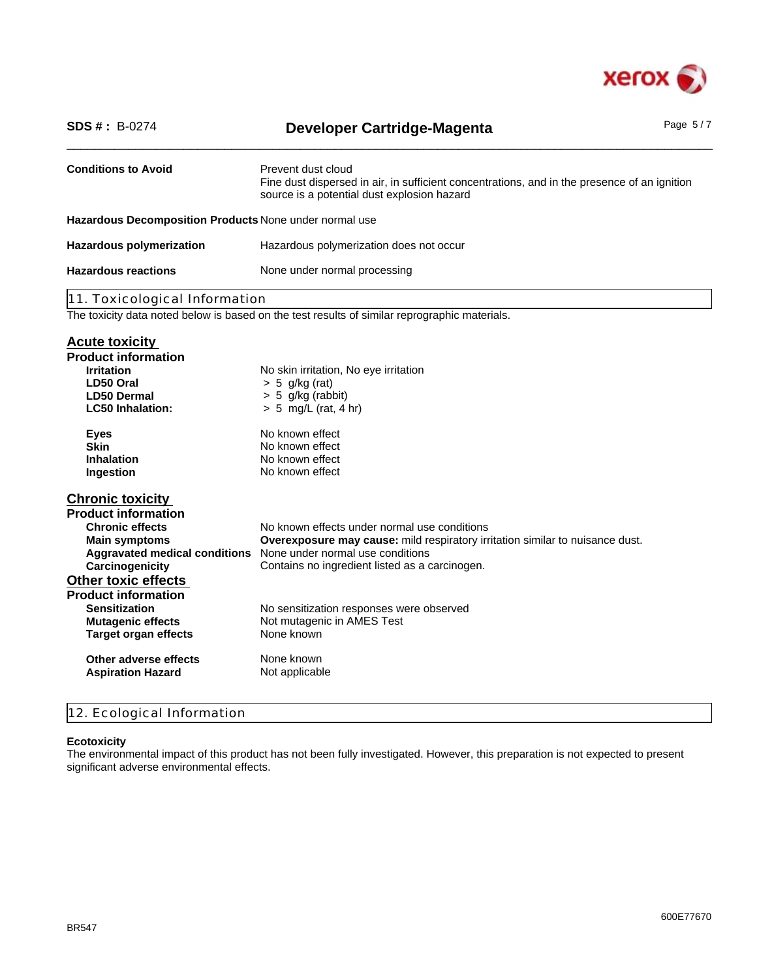

| <b>SDS #: B-0274</b>                                                                                                                                                                                                                                                                                                           | <b>Developer Cartridge-Magenta</b>                                                                                                                                                                                                                                                                                                                                        | Page $5/7$ |
|--------------------------------------------------------------------------------------------------------------------------------------------------------------------------------------------------------------------------------------------------------------------------------------------------------------------------------|---------------------------------------------------------------------------------------------------------------------------------------------------------------------------------------------------------------------------------------------------------------------------------------------------------------------------------------------------------------------------|------------|
| <b>Conditions to Avoid</b>                                                                                                                                                                                                                                                                                                     | Prevent dust cloud<br>Fine dust dispersed in air, in sufficient concentrations, and in the presence of an ignition<br>source is a potential dust explosion hazard                                                                                                                                                                                                         |            |
| Hazardous Decomposition Products None under normal use                                                                                                                                                                                                                                                                         |                                                                                                                                                                                                                                                                                                                                                                           |            |
| <b>Hazardous polymerization</b>                                                                                                                                                                                                                                                                                                | Hazardous polymerization does not occur                                                                                                                                                                                                                                                                                                                                   |            |
| <b>Hazardous reactions</b>                                                                                                                                                                                                                                                                                                     | None under normal processing                                                                                                                                                                                                                                                                                                                                              |            |
| 11. Toxicological Information                                                                                                                                                                                                                                                                                                  |                                                                                                                                                                                                                                                                                                                                                                           |            |
|                                                                                                                                                                                                                                                                                                                                | The toxicity data noted below is based on the test results of similar reprographic materials.                                                                                                                                                                                                                                                                             |            |
| <b>Acute toxicity</b><br><b>Product information</b><br><b>Irritation</b><br>LD50 Oral<br>LD50 Dermal<br><b>LC50 Inhalation:</b>                                                                                                                                                                                                | No skin irritation, No eye irritation<br>$> 5$ g/kg (rat)<br>> 5 g/kg (rabbit)<br>$> 5$ mg/L (rat, 4 hr)                                                                                                                                                                                                                                                                  |            |
| <b>Eyes</b><br><b>Skin</b><br>Inhalation<br>Ingestion                                                                                                                                                                                                                                                                          | No known effect<br>No known effect<br>No known effect<br>No known effect                                                                                                                                                                                                                                                                                                  |            |
| <b>Chronic toxicity</b><br><b>Product information</b><br><b>Chronic effects</b><br><b>Main symptoms</b><br>Carcinogenicity<br><b>Other toxic effects</b><br><b>Product information</b><br><b>Sensitization</b><br><b>Mutagenic effects</b><br><b>Target organ effects</b><br>Other adverse effects<br><b>Aspiration Hazard</b> | No known effects under normal use conditions<br>Overexposure may cause: mild respiratory irritation similar to nuisance dust.<br>Aggravated medical conditions None under normal use conditions<br>Contains no ingredient listed as a carcinogen.<br>No sensitization responses were observed<br>Not mutagenic in AMES Test<br>None known<br>None known<br>Not applicable |            |

# 12. Ecological Information

### **Ecotoxicity**

The environmental impact of this product has not been fully investigated. However, this preparation is not expected to present significant adverse environmental effects.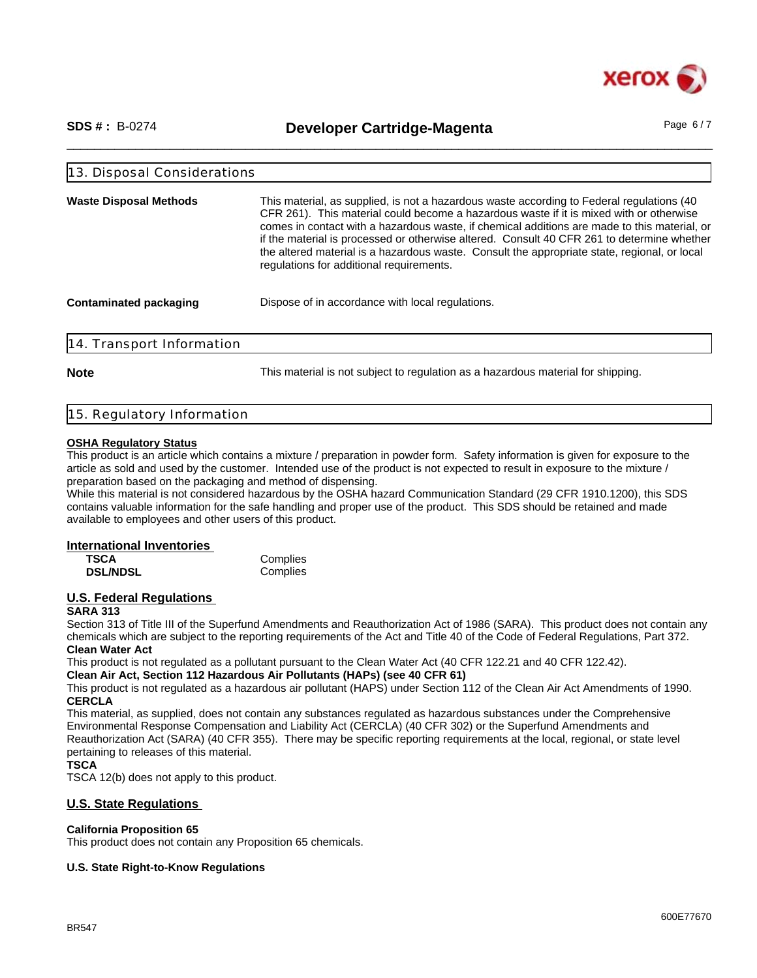

\_\_\_\_\_\_\_\_\_\_\_\_\_\_\_\_\_\_\_\_\_\_\_\_\_\_\_\_\_\_\_\_\_\_\_\_\_\_\_\_\_\_\_\_\_\_\_\_\_\_\_\_\_\_\_\_\_\_\_\_\_\_\_\_\_\_\_\_\_\_\_\_\_\_\_\_\_\_\_\_\_\_\_\_\_\_\_\_\_\_\_\_\_\_ **SDS # :** B-0274 **Developer Cartridge-Magenta** Page 6 / 7

| 13. Disposal Considerations   |                                                                                                                                                                                                                                                                                                                                                                                                                                                                                                                                |  |
|-------------------------------|--------------------------------------------------------------------------------------------------------------------------------------------------------------------------------------------------------------------------------------------------------------------------------------------------------------------------------------------------------------------------------------------------------------------------------------------------------------------------------------------------------------------------------|--|
| <b>Waste Disposal Methods</b> | This material, as supplied, is not a hazardous waste according to Federal regulations (40<br>CFR 261). This material could become a hazardous waste if it is mixed with or otherwise<br>comes in contact with a hazardous waste, if chemical additions are made to this material, or<br>if the material is processed or otherwise altered. Consult 40 CFR 261 to determine whether<br>the altered material is a hazardous waste. Consult the appropriate state, regional, or local<br>regulations for additional requirements. |  |
| Contaminated packaging        | Dispose of in accordance with local regulations.                                                                                                                                                                                                                                                                                                                                                                                                                                                                               |  |
| 14. Transport Information     |                                                                                                                                                                                                                                                                                                                                                                                                                                                                                                                                |  |

**Note** This material is not subject to regulation as a hazardous material for shipping.

|  | 15. Regulatory Information |  |
|--|----------------------------|--|
|  |                            |  |

#### **OSHA Regulatory Status**

This product is an article which contains a mixture / preparation in powder form. Safety information is given for exposure to the article as sold and used by the customer. Intended use of the product is not expected to result in exposure to the mixture / preparation based on the packaging and method of dispensing.

While this material is not considered hazardous by the OSHA hazard Communication Standard (29 CFR 1910.1200), this SDS contains valuable information for the safe handling and proper use of the product. This SDS should be retained and made available to employees and other users of this product.

#### **International Inventories**

| <b>TSCA</b>     | Complies |
|-----------------|----------|
| <b>DSL/NDSL</b> | Complies |

## **U.S. Federal Regulations**

### **SARA 313**

Section 313 of Title III of the Superfund Amendments and Reauthorization Act of 1986 (SARA). This product does not contain any chemicals which are subject to the reporting requirements of the Act and Title 40 of the Code of Federal Regulations, Part 372. **Clean Water Act**

This product is not regulated as a pollutant pursuant to the Clean Water Act (40 CFR 122.21 and 40 CFR 122.42).

**Clean Air Act, Section 112 Hazardous Air Pollutants (HAPs) (see 40 CFR 61)**

This product is not regulated as a hazardous air pollutant (HAPS) under Section 112 of the Clean Air Act Amendments of 1990. **CERCLA**

This material, as supplied, does not contain any substances regulated as hazardous substances under the Comprehensive Environmental Response Compensation and Liability Act (CERCLA) (40 CFR 302) or the Superfund Amendments and Reauthorization Act (SARA) (40 CFR 355). There may be specific reporting requirements at the local, regional, or state level pertaining to releases of this material.

#### **TSCA**

TSCA 12(b) does not apply to this product.

### **U.S. State Regulations**

### **California Proposition 65**

This product does not contain any Proposition 65 chemicals.

### **U.S. State Right-to-Know Regulations**